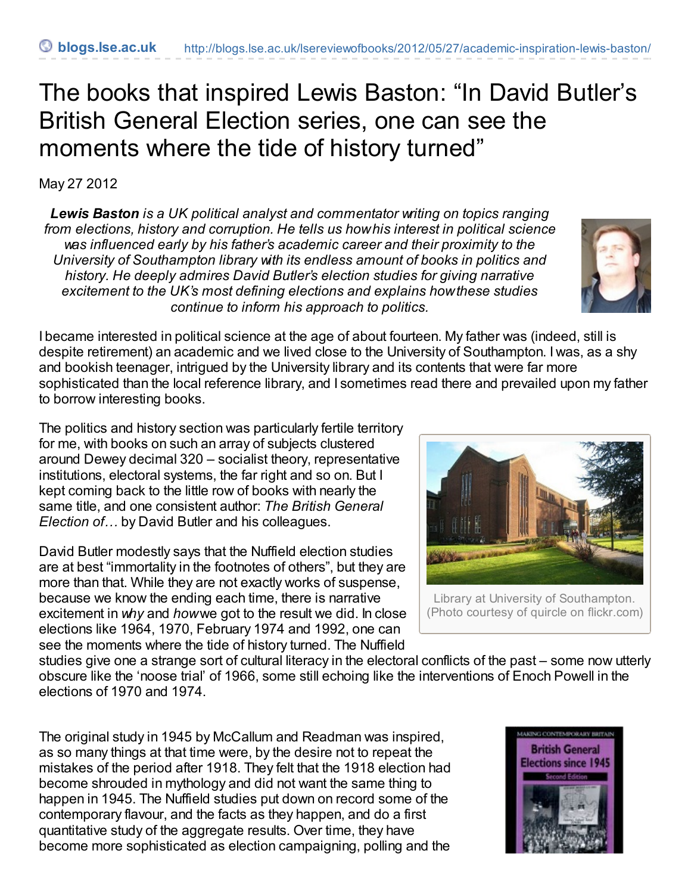## The books that inspired Lewis Baston: "In David Butler's British General Election series, one can see the moments where the tide of history turned"

May 27 2012

*Lewis Baston is a UK political analyst and commentator writing on topics ranging from elections, history and corruption. He tells us howhis interest in political science was influenced early by his father's academic career and their proximity to the University of Southampton library with its endless amount of books in politics and history. He deeply admires David Butler's election studies for giving narrative excitement to the UK's most defining elections and explains howthese studies continue to inform his approach to politics.*



I became interested in political science at the age of about fourteen. My father was (indeed, still is despite retirement) an academic and we lived close to the University of Southampton. I was, as a shy and bookish teenager, intrigued by the University library and its contents that were far more sophisticated than the local reference library, and I sometimes read there and prevailed upon my father to borrow interesting books.

The politics and history section was particularly fertile territory for me, with books on such an array of subjects clustered around Dewey decimal 320 – socialist theory, representative institutions, electoral systems, the far right and so on. But I kept coming back to the little row of books with nearly the same title, and one consistent author: *The British General Election of…* by David Butler and his colleagues.

David Butler modestly says that the Nuffield election studies are at best "immortality in the footnotes of others", but they are more than that. While they are not exactly works of suspense, because we know the ending each time, there is narrative excitement in *why* and *how*we got to the result we did. In close elections like 1964, 1970, February 1974 and 1992, one can see the moments where the tide of history turned. The Nuffield



Library at University of Southampton. (Photo courtesy of quircle on flickr.com)

studies give one a strange sort of cultural literacy in the electoral conflicts of the past – some now utterly obscure like the 'noose trial' of 1966, some still echoing like the interventions of Enoch Powell in the elections of 1970 and 1974.

The original study in 1945 by McCallum and Readman was inspired, as so many things at that time were, by the desire not to repeat the mistakes of the period after 1918. They felt that the 1918 election had become shrouded in mythology and did not want the same thing to happen in 1945. The Nuffield studies put down on record some of the contemporary flavour, and the facts as they happen, and do a first quantitative study of the aggregate results. Over time, they have become more sophisticated as election campaigning, polling and the

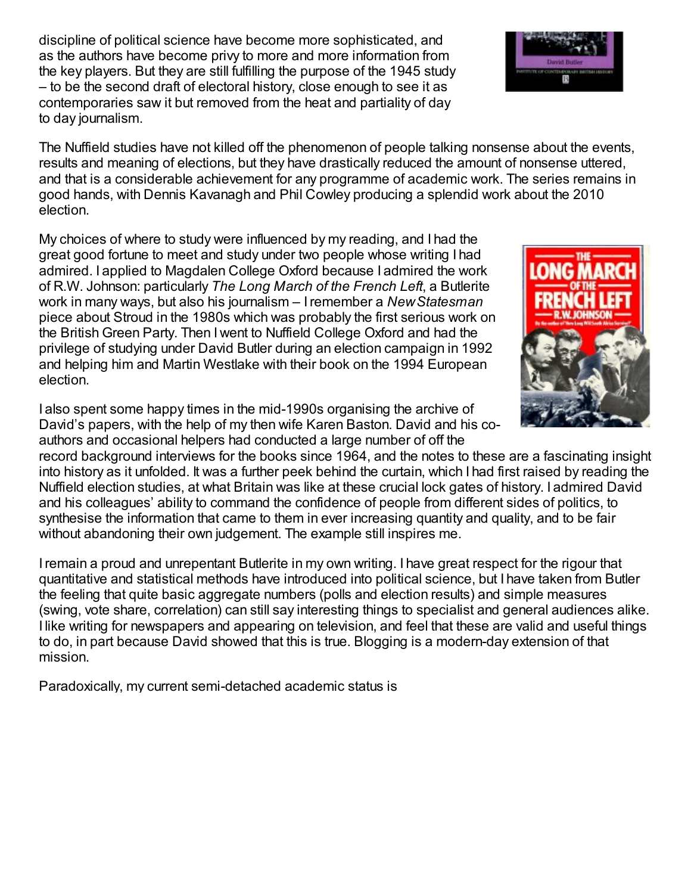discipline of political science have become more sophisticated, and as the authors have become privy to more and more information from the key players. But they are still fulfilling the purpose of the 1945 study – to be the second draft of electoral history, close enough to see it as contemporaries saw it but removed from the heat and partiality of day to day journalism.

The Nuffield studies have not killed off the phenomenon of people talking nonsense about the events, results and meaning of elections, but they have drastically reduced the amount of nonsense uttered, and that is a considerable achievement for any programme of academic work. The series remains in good hands, with Dennis Kavanagh and Phil Cowley producing a splendid work about the 2010 election.

My choices of where to study were influenced by my reading, and I had the great good fortune to meet and study under two people whose writing I had admired. I applied to Magdalen College Oxford because I admired the work of R.W. Johnson: particularly *The Long March of the French Left*, a Butlerite work in many ways, but also his journalism – Iremember a *NewStatesman* piece about Stroud in the 1980s which was probably the first serious work on the British Green Party. Then I went to Nuffield College Oxford and had the privilege of studying under David Butler during an election campaign in 1992 and helping him and Martin Westlake with their book on the 1994 European election.

I also spent some happy times in the mid-1990s organising the archive of David's papers, with the help of my then wife Karen Baston. David and his coauthors and occasional helpers had conducted a large number of off the

record background interviews for the books since 1964, and the notes to these are a fascinating insight into history as it unfolded. It was a further peek behind the curtain, which I had first raised by reading the Nuffield election studies, at what Britain was like at these crucial lock gates of history. I admired David and his colleagues' ability to command the confidence of people from different sides of politics, to synthesise the information that came to them in ever increasing quantity and quality, and to be fair without abandoning their own judgement. The example still inspires me.

Iremain a proud and unrepentant Butlerite in my own writing. I have great respect for the rigour that quantitative and statistical methods have introduced into political science, but I have taken from Butler the feeling that quite basic aggregate numbers (polls and election results) and simple measures (swing, vote share, correlation) can still say interesting things to specialist and general audiences alike. I like writing for newspapers and appearing on television, and feel that these are valid and useful things to do, in part because David showed that this is true. Blogging is a modern-day extension of that mission.

Paradoxically, my current semi-detached academic status is